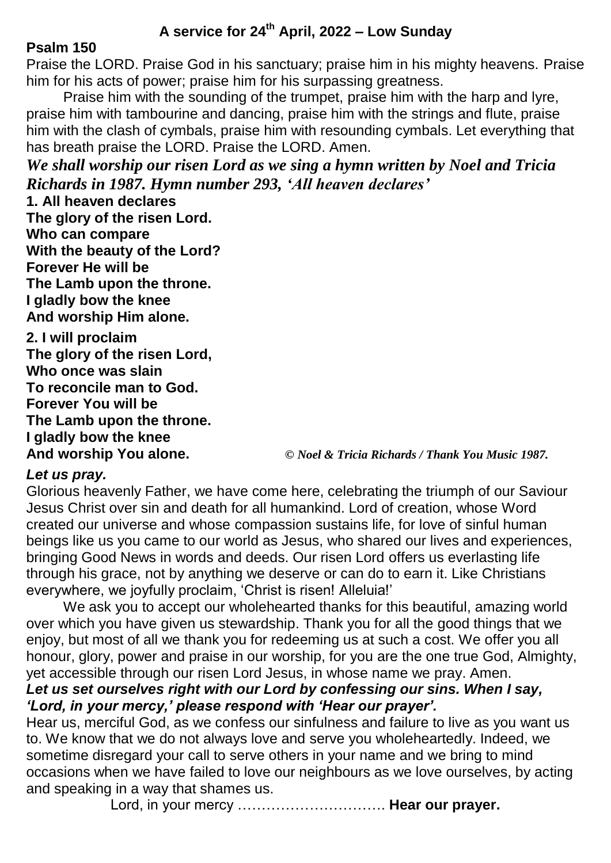# **A service for 24th April, 2022 – Low Sunday**

### **Psalm 150**

Praise the LORD. Praise God in his sanctuary; praise him in his mighty heavens. Praise him for his acts of power; praise him for his surpassing greatness.

Praise him with the sounding of the trumpet, praise him with the harp and lyre, praise him with tambourine and dancing, praise him with the strings and flute, praise him with the clash of cymbals, praise him with resounding cymbals. Let everything that has breath praise the LORD. Praise the LORD. Amen.

*We shall worship our risen Lord as we sing a hymn written by Noel and Tricia Richards in 1987. Hymn number 293, 'All heaven declares'*

**1. All heaven declares The glory of the risen Lord. Who can compare With the beauty of the Lord? Forever He will be The Lamb upon the throne. I gladly bow the knee And worship Him alone.**

**2. I will proclaim The glory of the risen Lord, Who once was slain To reconcile man to God. Forever You will be The Lamb upon the throne. I gladly bow the knee**

**And worship You alone.** *© Noel & Tricia Richards / Thank You Music 1987.*

### *Let us pray.*

Glorious heavenly Father, we have come here, celebrating the triumph of our Saviour Jesus Christ over sin and death for all humankind. Lord of creation, whose Word created our universe and whose compassion sustains life, for love of sinful human beings like us you came to our world as Jesus, who shared our lives and experiences, bringing Good News in words and deeds. Our risen Lord offers us everlasting life through his grace, not by anything we deserve or can do to earn it. Like Christians everywhere, we joyfully proclaim, 'Christ is risen! Alleluia!'

We ask you to accept our wholehearted thanks for this beautiful, amazing world over which you have given us stewardship. Thank you for all the good things that we enjoy, but most of all we thank you for redeeming us at such a cost. We offer you all honour, glory, power and praise in our worship, for you are the one true God, Almighty, yet accessible through our risen Lord Jesus, in whose name we pray. Amen.

## *Let us set ourselves right with our Lord by confessing our sins. When I say, 'Lord, in your mercy,' please respond with 'Hear our prayer'.*

Hear us, merciful God, as we confess our sinfulness and failure to live as you want us to. We know that we do not always love and serve you wholeheartedly. Indeed, we sometime disregard your call to serve others in your name and we bring to mind occasions when we have failed to love our neighbours as we love ourselves, by acting and speaking in a way that shames us.

Lord, in your mercy …………………………. **Hear our prayer.**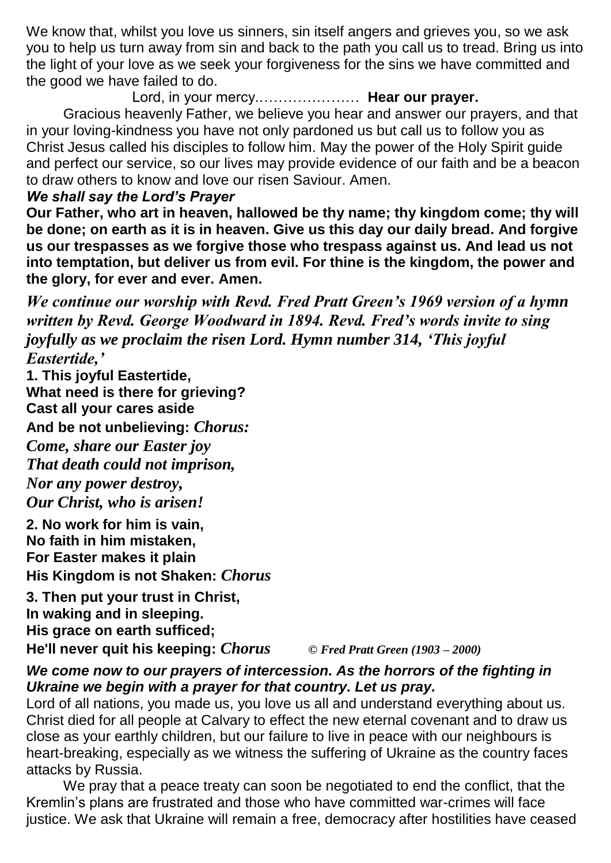We know that, whilst you love us sinners, sin itself angers and grieves you, so we ask you to help us turn away from sin and back to the path you call us to tread. Bring us into the light of your love as we seek your forgiveness for the sins we have committed and the good we have failed to do.

Lord, in your mercy.………………… **Hear our prayer.**

Gracious heavenly Father, we believe you hear and answer our prayers, and that in your loving-kindness you have not only pardoned us but call us to follow you as Christ Jesus called his disciples to follow him. May the power of the Holy Spirit guide and perfect our service, so our lives may provide evidence of our faith and be a beacon to draw others to know and love our risen Saviour. Amen.

### *We shall say the Lord's Prayer*

**Our Father, who art in heaven, hallowed be thy name; thy kingdom come; thy will be done; on earth as it is in heaven. Give us this day our daily bread. And forgive us our trespasses as we forgive those who trespass against us. And lead us not into temptation, but deliver us from evil. For thine is the kingdom, the power and the glory, for ever and ever. Amen.**

*We continue our worship with Revd. Fred Pratt Green's 1969 version of a hymn written by Revd. George Woodward in 1894. Revd. Fred's words invite to sing joyfully as we proclaim the risen Lord. Hymn number 314, 'This joyful Eastertide,'* 

**1. This joyful Eastertide, What need is there for grieving? Cast all your cares aside**

**And be not unbelieving:** *Chorus: Come, share our Easter joy That death could not imprison, Nor any power destroy, Our Christ, who is arisen!*

**2. No work for him is vain, No faith in him mistaken, For Easter makes it plain His Kingdom is not Shaken:** *Chorus*

**3. Then put your trust in Christ, In waking and in sleeping. His grace on earth sufficed; He'll never quit his keeping:** *Chorus © Fred Pratt Green (1903 – 2000)*

#### *We come now to our prayers of intercession. As the horrors of the fighting in Ukraine we begin with a prayer for that country. Let us pray.*

Lord of all nations, you made us, you love us all and understand everything about us. Christ died for all people at Calvary to effect the new eternal covenant and to draw us close as your earthly children, but our failure to live in peace with our neighbours is heart-breaking, especially as we witness the suffering of Ukraine as the country faces attacks by Russia.

We pray that a peace treaty can soon be negotiated to end the conflict, that the Kremlin's plans are frustrated and those who have committed war-crimes will face justice. We ask that Ukraine will remain a free, democracy after hostilities have ceased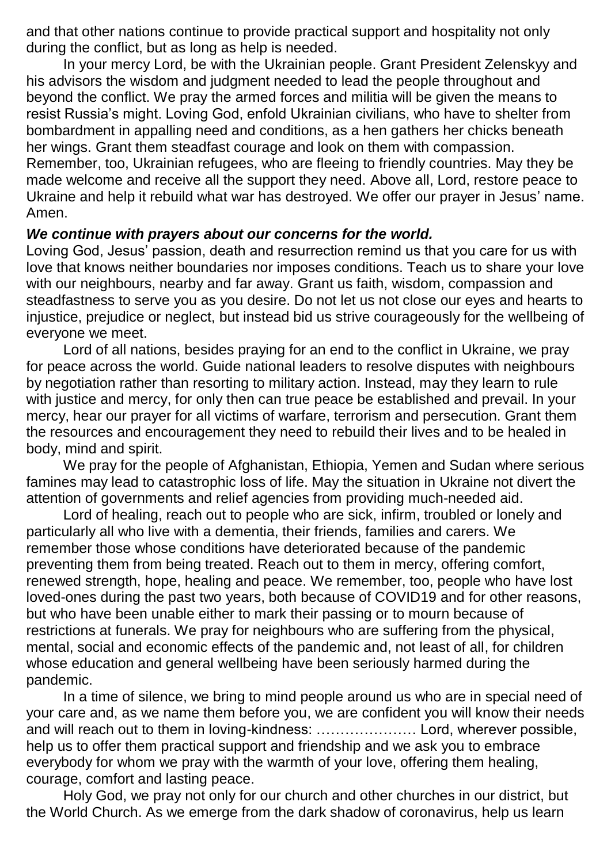and that other nations continue to provide practical support and hospitality not only during the conflict, but as long as help is needed.

In your mercy Lord, be with the Ukrainian people. Grant President Zelenskyy and his advisors the wisdom and judgment needed to lead the people throughout and beyond the conflict. We pray the armed forces and militia will be given the means to resist Russia's might. Loving God, enfold Ukrainian civilians, who have to shelter from bombardment in appalling need and conditions, as a hen gathers her chicks beneath her wings. Grant them steadfast courage and look on them with compassion. Remember, too, Ukrainian refugees, who are fleeing to friendly countries. May they be made welcome and receive all the support they need. Above all, Lord, restore peace to Ukraine and help it rebuild what war has destroyed. We offer our prayer in Jesus' name. Amen.

#### *We continue with prayers about our concerns for the world.*

Loving God, Jesus' passion, death and resurrection remind us that you care for us with love that knows neither boundaries nor imposes conditions. Teach us to share your love with our neighbours, nearby and far away. Grant us faith, wisdom, compassion and steadfastness to serve you as you desire. Do not let us not close our eyes and hearts to injustice, prejudice or neglect, but instead bid us strive courageously for the wellbeing of everyone we meet.

Lord of all nations, besides praying for an end to the conflict in Ukraine, we pray for peace across the world. Guide national leaders to resolve disputes with neighbours by negotiation rather than resorting to military action. Instead, may they learn to rule with justice and mercy, for only then can true peace be established and prevail. In your mercy, hear our prayer for all victims of warfare, terrorism and persecution. Grant them the resources and encouragement they need to rebuild their lives and to be healed in body, mind and spirit.

We pray for the people of Afghanistan, Ethiopia, Yemen and Sudan where serious famines may lead to catastrophic loss of life. May the situation in Ukraine not divert the attention of governments and relief agencies from providing much-needed aid.

Lord of healing, reach out to people who are sick, infirm, troubled or lonely and particularly all who live with a dementia, their friends, families and carers. We remember those whose conditions have deteriorated because of the pandemic preventing them from being treated. Reach out to them in mercy, offering comfort, renewed strength, hope, healing and peace. We remember, too, people who have lost loved-ones during the past two years, both because of COVID19 and for other reasons, but who have been unable either to mark their passing or to mourn because of restrictions at funerals. We pray for neighbours who are suffering from the physical, mental, social and economic effects of the pandemic and, not least of all, for children whose education and general wellbeing have been seriously harmed during the pandemic.

In a time of silence, we bring to mind people around us who are in special need of your care and, as we name them before you, we are confident you will know their needs and will reach out to them in loving-kindness: ………………… Lord, wherever possible, help us to offer them practical support and friendship and we ask you to embrace everybody for whom we pray with the warmth of your love, offering them healing, courage, comfort and lasting peace.

Holy God, we pray not only for our church and other churches in our district, but the World Church. As we emerge from the dark shadow of coronavirus, help us learn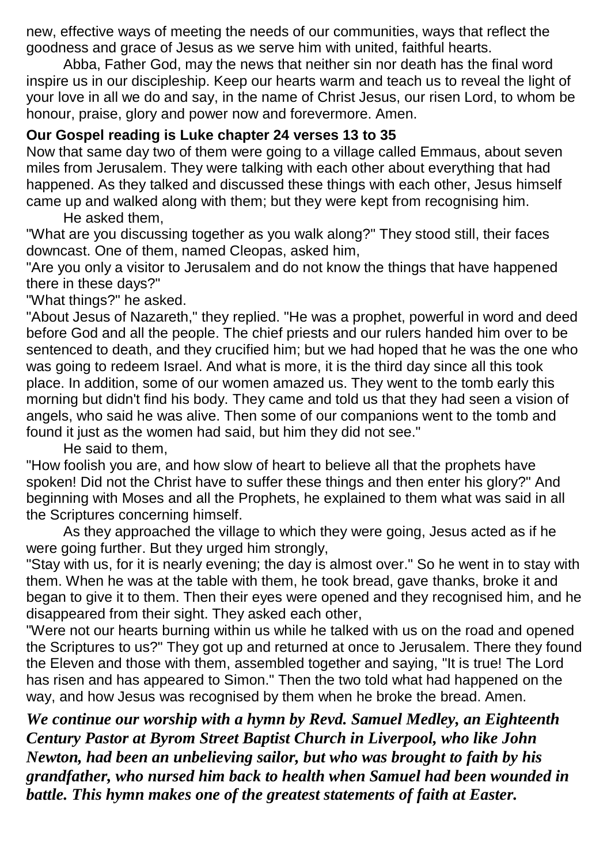new, effective ways of meeting the needs of our communities, ways that reflect the goodness and grace of Jesus as we serve him with united, faithful hearts.

Abba, Father God, may the news that neither sin nor death has the final word inspire us in our discipleship. Keep our hearts warm and teach us to reveal the light of your love in all we do and say, in the name of Christ Jesus, our risen Lord, to whom be honour, praise, glory and power now and forevermore. Amen.

# **Our Gospel reading is Luke chapter 24 verses 13 to 35**

Now that same day two of them were going to a village called Emmaus, about seven miles from Jerusalem. They were talking with each other about everything that had happened. As they talked and discussed these things with each other, Jesus himself came up and walked along with them; but they were kept from recognising him.

He asked them,

"What are you discussing together as you walk along?" They stood still, their faces downcast. One of them, named Cleopas, asked him,

"Are you only a visitor to Jerusalem and do not know the things that have happened there in these days?"

"What things?" he asked.

"About Jesus of Nazareth," they replied. "He was a prophet, powerful in word and deed before God and all the people. The chief priests and our rulers handed him over to be sentenced to death, and they crucified him; but we had hoped that he was the one who was going to redeem Israel. And what is more, it is the third day since all this took place. In addition, some of our women amazed us. They went to the tomb early this morning but didn't find his body. They came and told us that they had seen a vision of angels, who said he was alive. Then some of our companions went to the tomb and found it just as the women had said, but him they did not see."

He said to them,

"How foolish you are, and how slow of heart to believe all that the prophets have spoken! Did not the Christ have to suffer these things and then enter his glory?" And beginning with Moses and all the Prophets, he explained to them what was said in all the Scriptures concerning himself.

As they approached the village to which they were going, Jesus acted as if he were going further. But they urged him strongly,

"Stay with us, for it is nearly evening; the day is almost over." So he went in to stay with them. When he was at the table with them, he took bread, gave thanks, broke it and began to give it to them. Then their eyes were opened and they recognised him, and he disappeared from their sight. They asked each other,

"Were not our hearts burning within us while he talked with us on the road and opened the Scriptures to us?" They got up and returned at once to Jerusalem. There they found the Eleven and those with them, assembled together and saying, "It is true! The Lord has risen and has appeared to Simon." Then the two told what had happened on the way, and how Jesus was recognised by them when he broke the bread. Amen.

*We continue our worship with a hymn by Revd. Samuel Medley, an Eighteenth Century Pastor at Byrom Street Baptist Church in Liverpool, who like John Newton, had been an unbelieving sailor, but who was brought to faith by his grandfather, who nursed him back to health when Samuel had been wounded in battle. This hymn makes one of the greatest statements of faith at Easter.*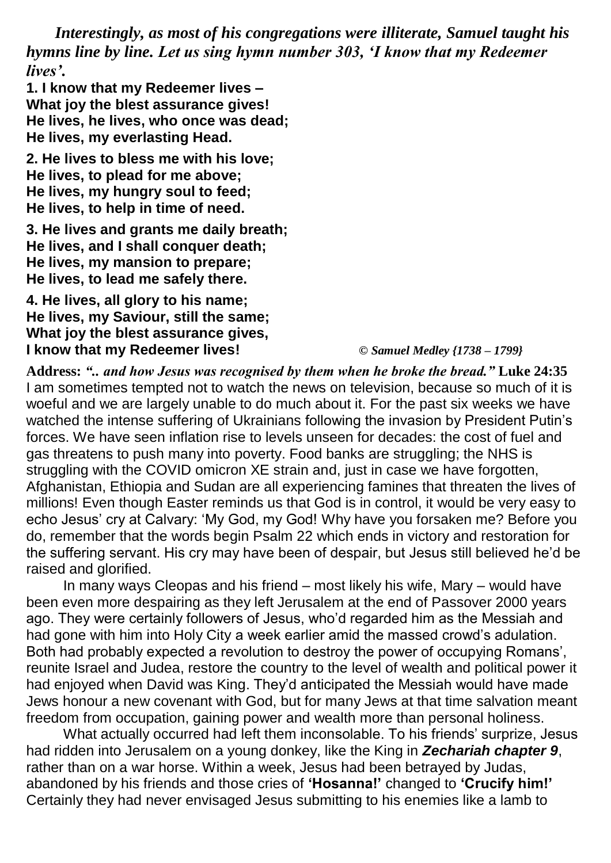*Interestingly, as most of his congregations were illiterate, Samuel taught his hymns line by line. Let us sing hymn number 303, 'I know that my Redeemer lives'.* 

**1. I know that my Redeemer lives – What joy the blest assurance gives! He lives, he lives, who once was dead; He lives, my everlasting Head.**

**2. He lives to bless me with his love; He lives, to plead for me above; He lives, my hungry soul to feed; He lives, to help in time of need.**

**3. He lives and grants me daily breath; He lives, and I shall conquer death; He lives, my mansion to prepare; He lives, to lead me safely there.**

**4. He lives, all glory to his name; He lives, my Saviour, still the same; What joy the blest assurance gives, I know that my Redeemer lives!** *© Samuel Medley {1738 – 1799}*

**Address:** *".. and how Jesus was recognised by them when he broke the bread."* **Luke 24:35** I am sometimes tempted not to watch the news on television, because so much of it is woeful and we are largely unable to do much about it. For the past six weeks we have watched the intense suffering of Ukrainians following the invasion by President Putin's forces. We have seen inflation rise to levels unseen for decades: the cost of fuel and gas threatens to push many into poverty. Food banks are struggling; the NHS is struggling with the COVID omicron XE strain and, just in case we have forgotten, Afghanistan, Ethiopia and Sudan are all experiencing famines that threaten the lives of millions! Even though Easter reminds us that God is in control, it would be very easy to echo Jesus' cry at Calvary: 'My God, my God! Why have you forsaken me? Before you do, remember that the words begin Psalm 22 which ends in victory and restoration for the suffering servant. His cry may have been of despair, but Jesus still believed he'd be raised and glorified.

In many ways Cleopas and his friend – most likely his wife, Mary – would have been even more despairing as they left Jerusalem at the end of Passover 2000 years ago. They were certainly followers of Jesus, who'd regarded him as the Messiah and had gone with him into Holy City a week earlier amid the massed crowd's adulation. Both had probably expected a revolution to destroy the power of occupying Romans', reunite Israel and Judea, restore the country to the level of wealth and political power it had enjoyed when David was King. They'd anticipated the Messiah would have made Jews honour a new covenant with God, but for many Jews at that time salvation meant freedom from occupation, gaining power and wealth more than personal holiness.

What actually occurred had left them inconsolable. To his friends' surprize, Jesus had ridden into Jerusalem on a young donkey, like the King in *Zechariah chapter 9*, rather than on a war horse. Within a week, Jesus had been betrayed by Judas, abandoned by his friends and those cries of **'Hosanna!'** changed to **'Crucify him!'** Certainly they had never envisaged Jesus submitting to his enemies like a lamb to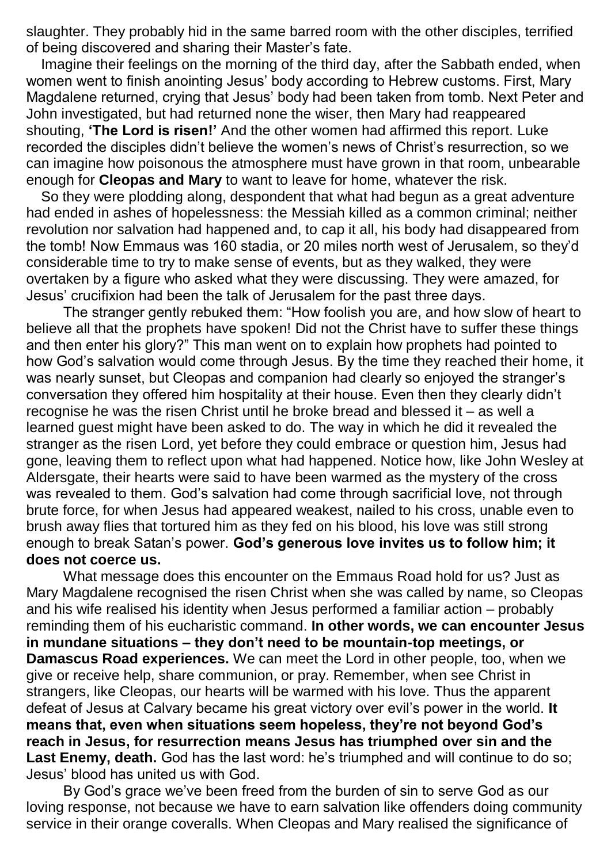slaughter. They probably hid in the same barred room with the other disciples, terrified of being discovered and sharing their Master's fate.

Imagine their feelings on the morning of the third day, after the Sabbath ended, when women went to finish anointing Jesus' body according to Hebrew customs. First, Mary Magdalene returned, crying that Jesus' body had been taken from tomb. Next Peter and John investigated, but had returned none the wiser, then Mary had reappeared shouting, **'The Lord is risen!'** And the other women had affirmed this report. Luke recorded the disciples didn't believe the women's news of Christ's resurrection, so we can imagine how poisonous the atmosphere must have grown in that room, unbearable enough for **Cleopas and Mary** to want to leave for home, whatever the risk.

So they were plodding along, despondent that what had begun as a great adventure had ended in ashes of hopelessness: the Messiah killed as a common criminal; neither revolution nor salvation had happened and, to cap it all, his body had disappeared from the tomb! Now Emmaus was 160 stadia, or 20 miles north west of Jerusalem, so they'd considerable time to try to make sense of events, but as they walked, they were overtaken by a figure who asked what they were discussing. They were amazed, for Jesus' crucifixion had been the talk of Jerusalem for the past three days.

The stranger gently rebuked them: "How foolish you are, and how slow of heart to believe all that the prophets have spoken! Did not the Christ have to suffer these things and then enter his glory?" This man went on to explain how prophets had pointed to how God's salvation would come through Jesus. By the time they reached their home, it was nearly sunset, but Cleopas and companion had clearly so enjoyed the stranger's conversation they offered him hospitality at their house. Even then they clearly didn't recognise he was the risen Christ until he broke bread and blessed it – as well a learned guest might have been asked to do. The way in which he did it revealed the stranger as the risen Lord, yet before they could embrace or question him, Jesus had gone, leaving them to reflect upon what had happened. Notice how, like John Wesley at Aldersgate, their hearts were said to have been warmed as the mystery of the cross was revealed to them. God's salvation had come through sacrificial love, not through brute force, for when Jesus had appeared weakest, nailed to his cross, unable even to brush away flies that tortured him as they fed on his blood, his love was still strong enough to break Satan's power. **God's generous love invites us to follow him; it does not coerce us.**

What message does this encounter on the Emmaus Road hold for us? Just as Mary Magdalene recognised the risen Christ when she was called by name, so Cleopas and his wife realised his identity when Jesus performed a familiar action – probably reminding them of his eucharistic command. **In other words, we can encounter Jesus in mundane situations – they don't need to be mountain-top meetings, or Damascus Road experiences.** We can meet the Lord in other people, too, when we give or receive help, share communion, or pray. Remember, when see Christ in strangers, like Cleopas, our hearts will be warmed with his love. Thus the apparent defeat of Jesus at Calvary became his great victory over evil's power in the world. **It means that, even when situations seem hopeless, they're not beyond God's reach in Jesus, for resurrection means Jesus has triumphed over sin and the Last Enemy, death.** God has the last word: he's triumphed and will continue to do so; Jesus' blood has united us with God.

By God's grace we've been freed from the burden of sin to serve God as our loving response, not because we have to earn salvation like offenders doing community service in their orange coveralls. When Cleopas and Mary realised the significance of